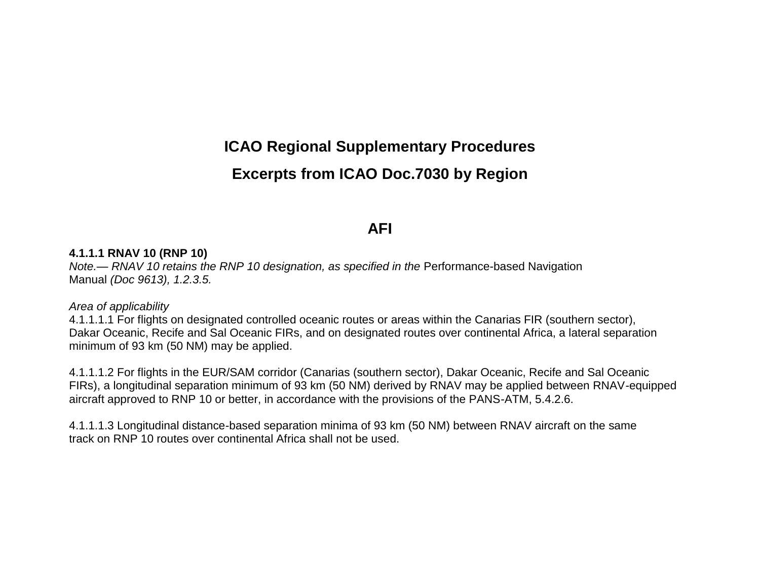# **ICAO Regional Supplementary Procedures**

# **Excerpts from ICAO Doc.7030 by Region**

# **AFI**

#### **4.1.1.1 RNAV 10 (RNP 10)**

*Note.— RNAV 10 retains the RNP 10 designation, as specified in the Performance-based Navigation* Manual *(Doc 9613), 1.2.3.5.*

#### *Area of applicability*

4.1.1.1.1 For flights on designated controlled oceanic routes or areas within the Canarias FIR (southern sector), Dakar Oceanic, Recife and Sal Oceanic FIRs, and on designated routes over continental Africa, a lateral separation minimum of 93 km (50 NM) may be applied.

4.1.1.1.2 For flights in the EUR/SAM corridor (Canarias (southern sector), Dakar Oceanic, Recife and Sal Oceanic FIRs), a longitudinal separation minimum of 93 km (50 NM) derived by RNAV may be applied between RNAV-equipped aircraft approved to RNP 10 or better, in accordance with the provisions of the PANS-ATM, 5.4.2.6.

4.1.1.1.3 Longitudinal distance-based separation minima of 93 km (50 NM) between RNAV aircraft on the same track on RNP 10 routes over continental Africa shall not be used.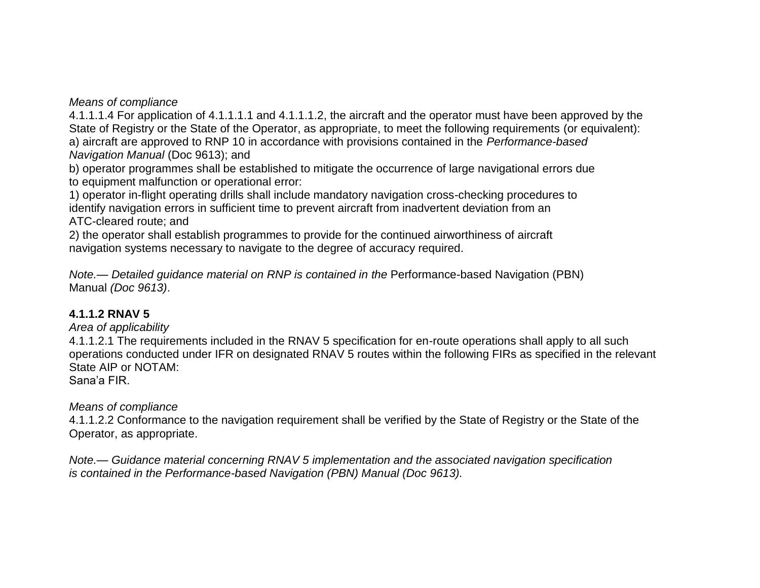4.1.1.1.4 For application of 4.1.1.1.1 and 4.1.1.1.2, the aircraft and the operator must have been approved by the State of Registry or the State of the Operator, as appropriate, to meet the following requirements (or equivalent): a) aircraft are approved to RNP 10 in accordance with provisions contained in the *Performance-based Navigation Manual* (Doc 9613); and

b) operator programmes shall be established to mitigate the occurrence of large navigational errors due to equipment malfunction or operational error:

1) operator in-flight operating drills shall include mandatory navigation cross-checking procedures to identify navigation errors in sufficient time to prevent aircraft from inadvertent deviation from an ATC-cleared route; and

2) the operator shall establish programmes to provide for the continued airworthiness of aircraft navigation systems necessary to navigate to the degree of accuracy required.

*Note.— Detailed guidance material on RNP is contained in the Performance-based Navigation (PBN)* Manual *(Doc 9613)*.

## **4.1.1.2 RNAV 5**

*Area of applicability*

4.1.1.2.1 The requirements included in the RNAV 5 specification for en-route operations shall apply to all such operations conducted under IFR on designated RNAV 5 routes within the following FIRs as specified in the relevant State AIP or NOTAM:

Sana'a FIR.

## *Means of compliance*

4.1.1.2.2 Conformance to the navigation requirement shall be verified by the State of Registry or the State of the Operator, as appropriate.

*Note.— Guidance material concerning RNAV 5 implementation and the associated navigation specification is contained in the Performance-based Navigation (PBN) Manual (Doc 9613).*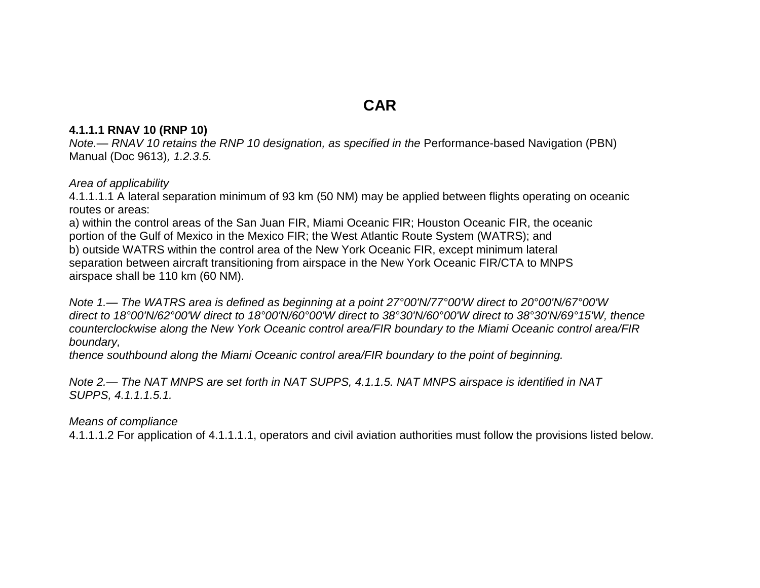# **CAR**

#### **4.1.1.1 RNAV 10 (RNP 10)**

*Note.— RNAV 10 retains the RNP 10 designation, as specified in the Performance-based Navigation (PBN)* Manual (Doc 9613)*, 1.2.3.5.*

#### *Area of applicability*

4.1.1.1.1 A lateral separation minimum of 93 km (50 NM) may be applied between flights operating on oceanic routes or areas:

a) within the control areas of the San Juan FIR, Miami Oceanic FIR; Houston Oceanic FIR, the oceanic portion of the Gulf of Mexico in the Mexico FIR; the West Atlantic Route System (WATRS); and b) outside WATRS within the control area of the New York Oceanic FIR, except minimum lateral separation between aircraft transitioning from airspace in the New York Oceanic FIR/CTA to MNPS airspace shall be 110 km (60 NM).

*Note 1.— The WATRS area is defined as beginning at a point 27°00'N/77°00'W direct to 20°00'N/67°00'W direct to 18°00'N/62°00'W direct to 18°00'N/60°00'W direct to 38°30'N/60°00'W direct to 38°30'N/69°15'W, thence counterclockwise along the New York Oceanic control area/FIR boundary to the Miami Oceanic control area/FIR boundary,*

*thence southbound along the Miami Oceanic control area/FIR boundary to the point of beginning.*

*Note 2.— The NAT MNPS are set forth in NAT SUPPS, 4.1.1.5. NAT MNPS airspace is identified in NAT SUPPS, 4.1.1.1.5.1.*

#### *Means of compliance*

4.1.1.1.2 For application of 4.1.1.1.1, operators and civil aviation authorities must follow the provisions listed below.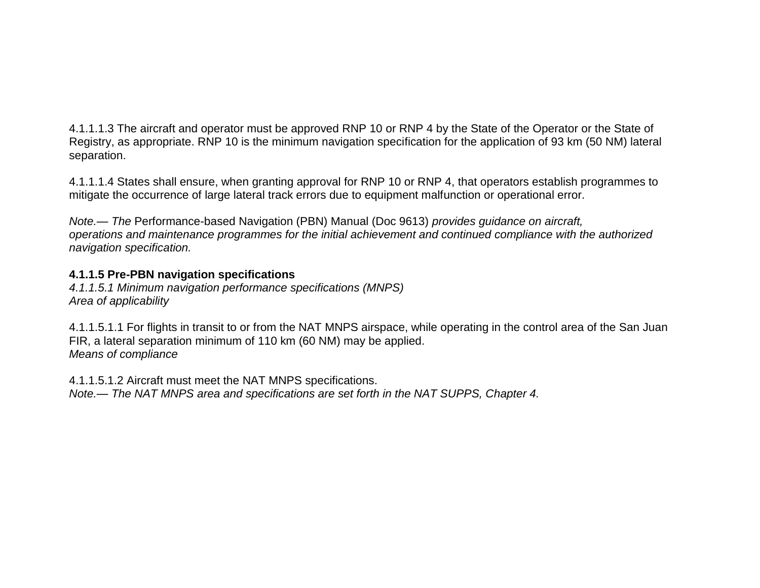4.1.1.1.3 The aircraft and operator must be approved RNP 10 or RNP 4 by the State of the Operator or the State of Registry, as appropriate. RNP 10 is the minimum navigation specification for the application of 93 km (50 NM) lateral separation.

4.1.1.1.4 States shall ensure, when granting approval for RNP 10 or RNP 4, that operators establish programmes to mitigate the occurrence of large lateral track errors due to equipment malfunction or operational error.

*Note.— The* Performance-based Navigation (PBN) Manual (Doc 9613) *provides guidance on aircraft, operations and maintenance programmes for the initial achievement and continued compliance with the authorized navigation specification.*

### **4.1.1.5 Pre-PBN navigation specifications**

*4.1.1.5.1 Minimum navigation performance specifications (MNPS) Area of applicability*

4.1.1.5.1.1 For flights in transit to or from the NAT MNPS airspace, while operating in the control area of the San Juan FIR, a lateral separation minimum of 110 km (60 NM) may be applied. *Means of compliance*

4.1.1.5.1.2 Aircraft must meet the NAT MNPS specifications. *Note.— The NAT MNPS area and specifications are set forth in the NAT SUPPS, Chapter 4.*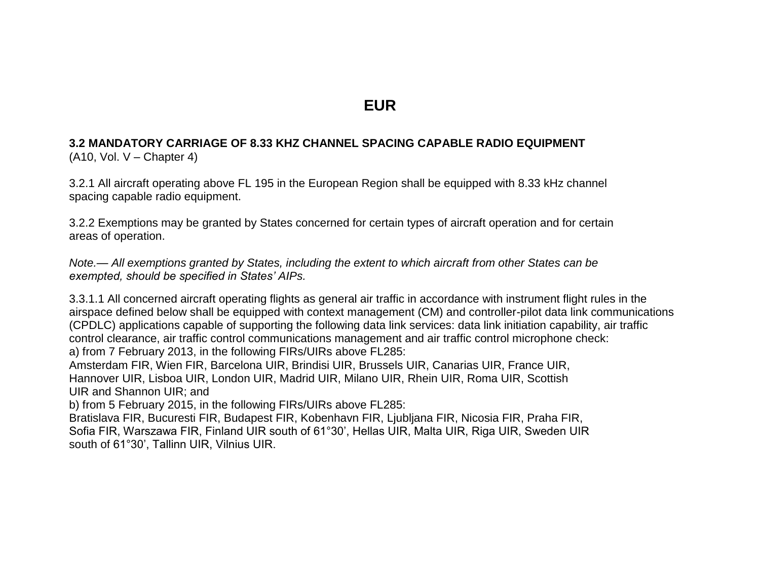# **EUR**

#### **3.2 MANDATORY CARRIAGE OF 8.33 KHZ CHANNEL SPACING CAPABLE RADIO EQUIPMENT**  $(A10, Vol. V - Chapter 4)$

3.2.1 All aircraft operating above FL 195 in the European Region shall be equipped with 8.33 kHz channel spacing capable radio equipment.

3.2.2 Exemptions may be granted by States concerned for certain types of aircraft operation and for certain areas of operation.

*Note.— All exemptions granted by States, including the extent to which aircraft from other States can be exempted, should be specified in States' AIPs.*

3.3.1.1 All concerned aircraft operating flights as general air traffic in accordance with instrument flight rules in the airspace defined below shall be equipped with context management (CM) and controller-pilot data link communications (CPDLC) applications capable of supporting the following data link services: data link initiation capability, air traffic control clearance, air traffic control communications management and air traffic control microphone check: a) from 7 February 2013, in the following FIRs/UIRs above FL285:

Amsterdam FIR, Wien FIR, Barcelona UIR, Brindisi UIR, Brussels UIR, Canarias UIR, France UIR, Hannover UIR, Lisboa UIR, London UIR, Madrid UIR, Milano UIR, Rhein UIR, Roma UIR, Scottish UIR and Shannon UIR; and

b) from 5 February 2015, in the following FIRs/UIRs above FL285:

Bratislava FIR, Bucuresti FIR, Budapest FIR, Kobenhavn FIR, Ljubljana FIR, Nicosia FIR, Praha FIR, Sofia FIR, Warszawa FIR, Finland UIR south of 61°30', Hellas UIR, Malta UIR, Riga UIR, Sweden UIR south of 61°30', Tallinn UIR, Vilnius UIR.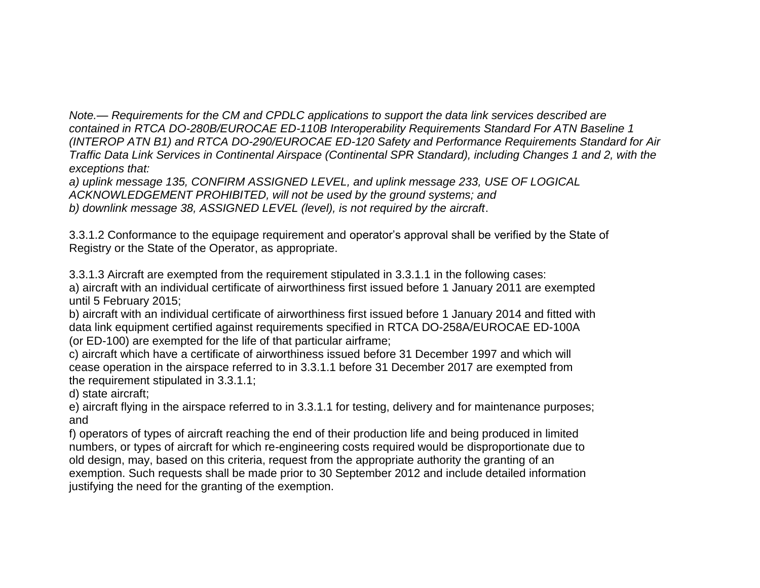*Note.— Requirements for the CM and CPDLC applications to support the data link services described are contained in RTCA DO-280B/EUROCAE ED-110B Interoperability Requirements Standard For ATN Baseline 1 (INTEROP ATN B1) and RTCA DO-290/EUROCAE ED-120 Safety and Performance Requirements Standard for Air Traffic Data Link Services in Continental Airspace (Continental SPR Standard), including Changes 1 and 2, with the exceptions that:*

*a) uplink message 135, CONFIRM ASSIGNED LEVEL, and uplink message 233, USE OF LOGICAL ACKNOWLEDGEMENT PROHIBITED, will not be used by the ground systems; and b) downlink message 38, ASSIGNED LEVEL (level), is not required by the aircraft*.

3.3.1.2 Conformance to the equipage requirement and operator's approval shall be verified by the State of Registry or the State of the Operator, as appropriate.

3.3.1.3 Aircraft are exempted from the requirement stipulated in 3.3.1.1 in the following cases: a) aircraft with an individual certificate of airworthiness first issued before 1 January 2011 are exempted until 5 February 2015;

b) aircraft with an individual certificate of airworthiness first issued before 1 January 2014 and fitted with data link equipment certified against requirements specified in RTCA DO-258A/EUROCAE ED-100A (or ED-100) are exempted for the life of that particular airframe;

c) aircraft which have a certificate of airworthiness issued before 31 December 1997 and which will cease operation in the airspace referred to in 3.3.1.1 before 31 December 2017 are exempted from the requirement stipulated in 3.3.1.1;

d) state aircraft;

e) aircraft flying in the airspace referred to in 3.3.1.1 for testing, delivery and for maintenance purposes; and

f) operators of types of aircraft reaching the end of their production life and being produced in limited numbers, or types of aircraft for which re-engineering costs required would be disproportionate due to old design, may, based on this criteria, request from the appropriate authority the granting of an exemption. Such requests shall be made prior to 30 September 2012 and include detailed information justifying the need for the granting of the exemption.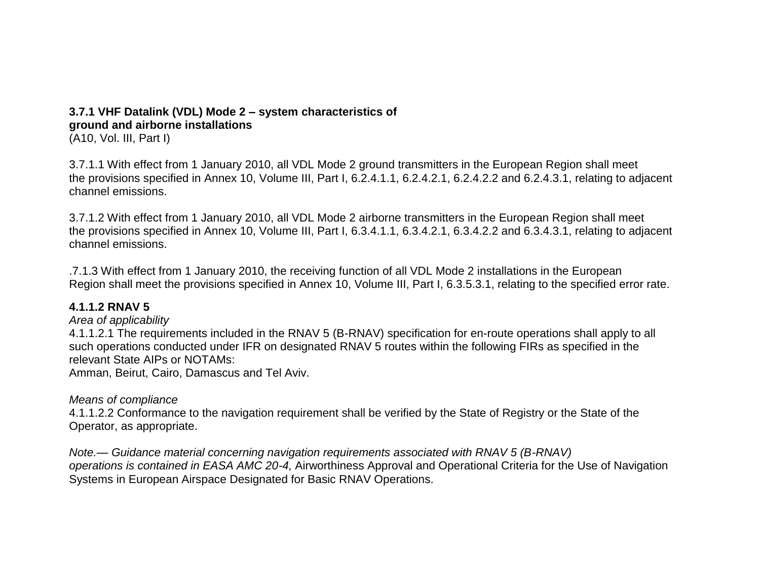# **3.7.1 VHF Datalink (VDL) Mode 2 – system characteristics of ground and airborne installations**

(A10, Vol. III, Part I)

3.7.1.1 With effect from 1 January 2010, all VDL Mode 2 ground transmitters in the European Region shall meet the provisions specified in Annex 10, Volume III, Part I, 6.2.4.1.1, 6.2.4.2.1, 6.2.4.2.2 and 6.2.4.3.1, relating to adjacent channel emissions.

3.7.1.2 With effect from 1 January 2010, all VDL Mode 2 airborne transmitters in the European Region shall meet the provisions specified in Annex 10, Volume III, Part I, 6.3.4.1.1, 6.3.4.2.1, 6.3.4.2.2 and 6.3.4.3.1, relating to adjacent channel emissions.

.7.1.3 With effect from 1 January 2010, the receiving function of all VDL Mode 2 installations in the European Region shall meet the provisions specified in Annex 10, Volume III, Part I, 6.3.5.3.1, relating to the specified error rate.

### **4.1.1.2 RNAV 5**

#### *Area of applicability*

4.1.1.2.1 The requirements included in the RNAV 5 (B-RNAV) specification for en-route operations shall apply to all such operations conducted under IFR on designated RNAV 5 routes within the following FIRs as specified in the relevant State AIPs or NOTAMs:

Amman, Beirut, Cairo, Damascus and Tel Aviv.

### *Means of compliance*

4.1.1.2.2 Conformance to the navigation requirement shall be verified by the State of Registry or the State of the Operator, as appropriate.

*Note.— Guidance material concerning navigation requirements associated with RNAV 5 (B-RNAV) operations is contained in EASA AMC 20-4,* Airworthiness Approval and Operational Criteria for the Use of Navigation Systems in European Airspace Designated for Basic RNAV Operations.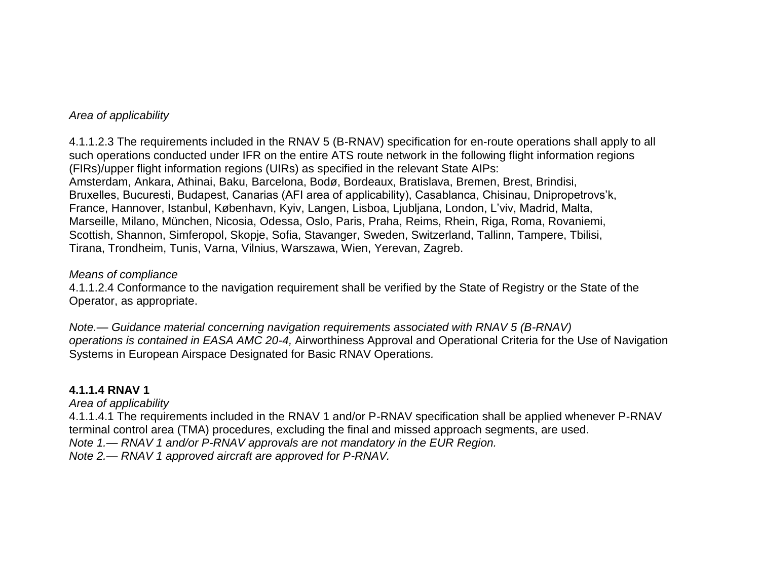#### *Area of applicability*

4.1.1.2.3 The requirements included in the RNAV 5 (B-RNAV) specification for en-route operations shall apply to all such operations conducted under IFR on the entire ATS route network in the following flight information regions (FIRs)/upper flight information regions (UIRs) as specified in the relevant State AIPs: Amsterdam, Ankara, Athinai, Baku, Barcelona, Bodø, Bordeaux, Bratislava, Bremen, Brest, Brindisi, Bruxelles, Bucuresti, Budapest, Canarias (AFI area of applicability), Casablanca, Chisinau, Dnipropetrovs'k, France, Hannover, Istanbul, København, Kyiv, Langen, Lisboa, Ljubljana, London, L'viv, Madrid, Malta, Marseille, Milano, München, Nicosia, Odessa, Oslo, Paris, Praha, Reims, Rhein, Riga, Roma, Rovaniemi, Scottish, Shannon, Simferopol, Skopje, Sofia, Stavanger, Sweden, Switzerland, Tallinn, Tampere, Tbilisi, Tirana, Trondheim, Tunis, Varna, Vilnius, Warszawa, Wien, Yerevan, Zagreb.

#### *Means of compliance*

4.1.1.2.4 Conformance to the navigation requirement shall be verified by the State of Registry or the State of the Operator, as appropriate.

*Note.— Guidance material concerning navigation requirements associated with RNAV 5 (B-RNAV) operations is contained in EASA AMC 20-4,* Airworthiness Approval and Operational Criteria for the Use of Navigation Systems in European Airspace Designated for Basic RNAV Operations*.*

#### **4.1.1.4 RNAV 1**

*Area of applicability*

4.1.1.4.1 The requirements included in the RNAV 1 and/or P-RNAV specification shall be applied whenever P-RNAV terminal control area (TMA) procedures, excluding the final and missed approach segments, are used.

*Note 1.— RNAV 1 and/or P-RNAV approvals are not mandatory in the EUR Region.*

*Note 2.— RNAV 1 approved aircraft are approved for P-RNAV.*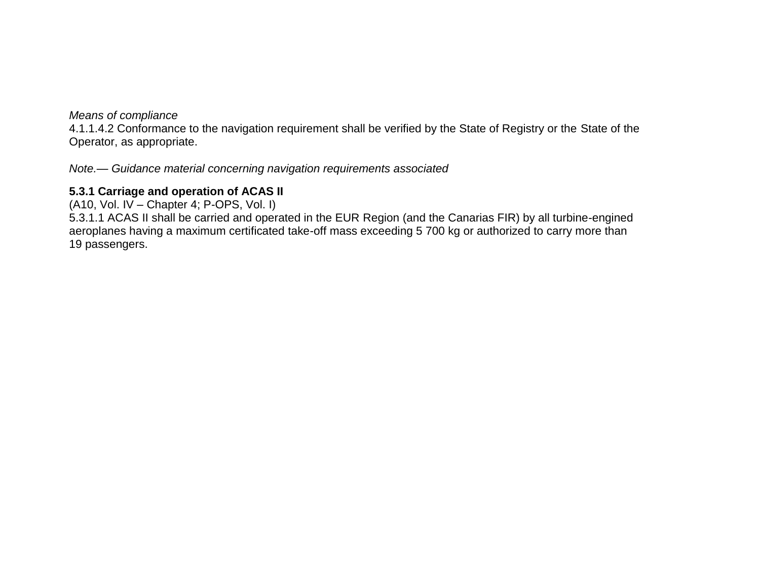4.1.1.4.2 Conformance to the navigation requirement shall be verified by the State of Registry or the State of the Operator, as appropriate.

*Note.— Guidance material concerning navigation requirements associated*

### **5.3.1 Carriage and operation of ACAS II**

(A10, Vol. IV – Chapter 4; P-OPS, Vol. I)

5.3.1.1 ACAS II shall be carried and operated in the EUR Region (and the Canarias FIR) by all turbine-engined aeroplanes having a maximum certificated take-off mass exceeding 5 700 kg or authorized to carry more than 19 passengers.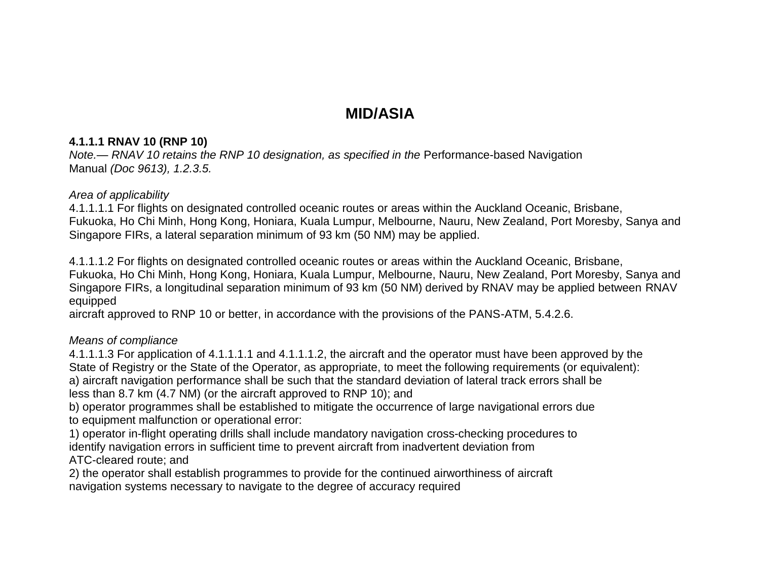# **MID/ASIA**

### **4.1.1.1 RNAV 10 (RNP 10)**

*Note.— RNAV 10 retains the RNP 10 designation, as specified in the Performance-based Navigation* Manual *(Doc 9613), 1.2.3.5.*

### *Area of applicability*

4.1.1.1.1 For flights on designated controlled oceanic routes or areas within the Auckland Oceanic, Brisbane, Fukuoka, Ho Chi Minh, Hong Kong, Honiara, Kuala Lumpur, Melbourne, Nauru, New Zealand, Port Moresby, Sanya and Singapore FIRs, a lateral separation minimum of 93 km (50 NM) may be applied.

4.1.1.1.2 For flights on designated controlled oceanic routes or areas within the Auckland Oceanic, Brisbane, Fukuoka, Ho Chi Minh, Hong Kong, Honiara, Kuala Lumpur, Melbourne, Nauru, New Zealand, Port Moresby, Sanya and Singapore FIRs, a longitudinal separation minimum of 93 km (50 NM) derived by RNAV may be applied between RNAV equipped

aircraft approved to RNP 10 or better, in accordance with the provisions of the PANS-ATM, 5.4.2.6.

## *Means of compliance*

4.1.1.1.3 For application of 4.1.1.1.1 and 4.1.1.1.2, the aircraft and the operator must have been approved by the State of Registry or the State of the Operator, as appropriate, to meet the following requirements (or equivalent): a) aircraft navigation performance shall be such that the standard deviation of lateral track errors shall be less than 8.7 km (4.7 NM) (or the aircraft approved to RNP 10); and

b) operator programmes shall be established to mitigate the occurrence of large navigational errors due to equipment malfunction or operational error:

1) operator in-flight operating drills shall include mandatory navigation cross-checking procedures to identify navigation errors in sufficient time to prevent aircraft from inadvertent deviation from ATC-cleared route; and

2) the operator shall establish programmes to provide for the continued airworthiness of aircraft navigation systems necessary to navigate to the degree of accuracy required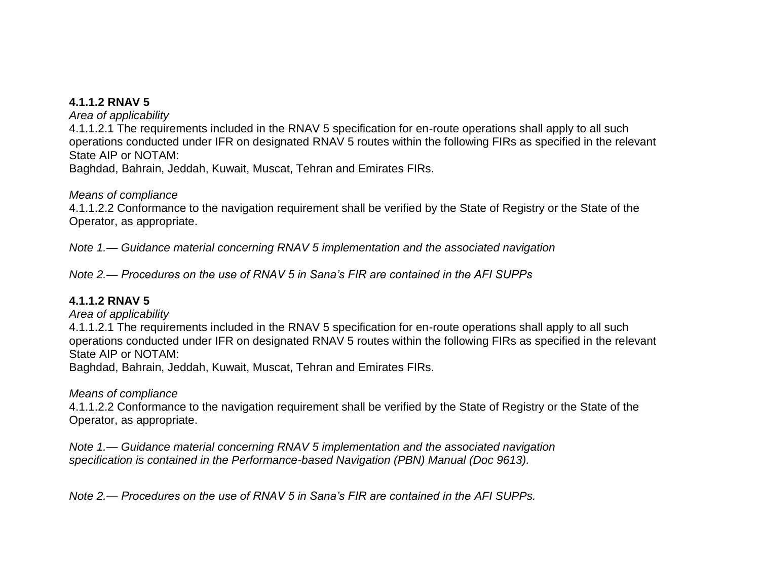#### **4.1.1.2 RNAV 5**

*Area of applicability*

4.1.1.2.1 The requirements included in the RNAV 5 specification for en-route operations shall apply to all such operations conducted under IFR on designated RNAV 5 routes within the following FIRs as specified in the relevant State AIP or NOTAM:

Baghdad, Bahrain, Jeddah, Kuwait, Muscat, Tehran and Emirates FIRs.

#### *Means of compliance*

4.1.1.2.2 Conformance to the navigation requirement shall be verified by the State of Registry or the State of the Operator, as appropriate.

*Note 1.— Guidance material concerning RNAV 5 implementation and the associated navigation*

*Note 2.— Procedures on the use of RNAV 5 in Sana's FIR are contained in the AFI SUPPs*

### **4.1.1.2 RNAV 5**

*Area of applicability*

4.1.1.2.1 The requirements included in the RNAV 5 specification for en-route operations shall apply to all such operations conducted under IFR on designated RNAV 5 routes within the following FIRs as specified in the relevant State AIP or NOTAM:

Baghdad, Bahrain, Jeddah, Kuwait, Muscat, Tehran and Emirates FIRs.

### *Means of compliance*

4.1.1.2.2 Conformance to the navigation requirement shall be verified by the State of Registry or the State of the Operator, as appropriate.

*Note 1.— Guidance material concerning RNAV 5 implementation and the associated navigation specification is contained in the Performance-based Navigation (PBN) Manual (Doc 9613).*

*Note 2.— Procedures on the use of RNAV 5 in Sana's FIR are contained in the AFI SUPPs.*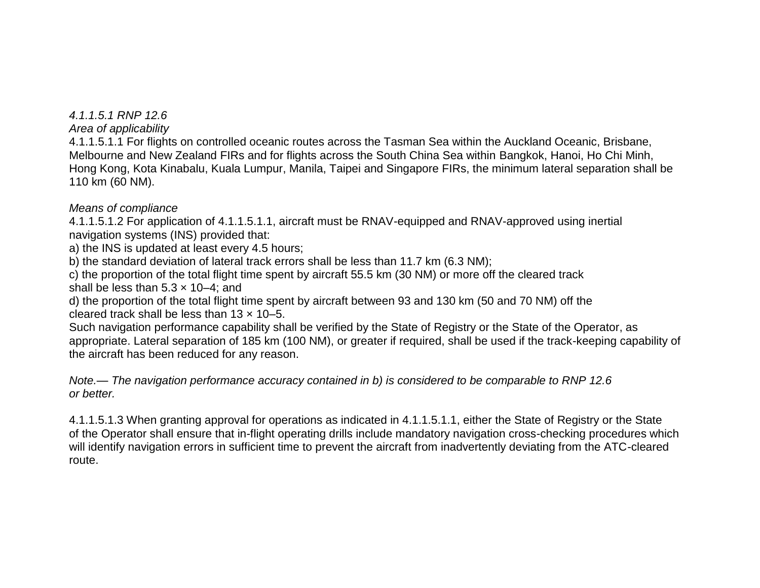### *4.1.1.5.1 RNP 12.6*

*Area of applicability*

4.1.1.5.1.1 For flights on controlled oceanic routes across the Tasman Sea within the Auckland Oceanic, Brisbane, Melbourne and New Zealand FIRs and for flights across the South China Sea within Bangkok, Hanoi, Ho Chi Minh, Hong Kong, Kota Kinabalu, Kuala Lumpur, Manila, Taipei and Singapore FIRs, the minimum lateral separation shall be 110 km (60 NM).

### *Means of compliance*

4.1.1.5.1.2 For application of 4.1.1.5.1.1, aircraft must be RNAV-equipped and RNAV-approved using inertial navigation systems (INS) provided that:

a) the INS is updated at least every 4.5 hours;

b) the standard deviation of lateral track errors shall be less than 11.7 km (6.3 NM);

c) the proportion of the total flight time spent by aircraft 55.5 km (30 NM) or more off the cleared track shall be less than  $5.3 \times 10-4$ ; and

d) the proportion of the total flight time spent by aircraft between 93 and 130 km (50 and 70 NM) off the cleared track shall be less than  $13 \times 10 - 5$ .

Such navigation performance capability shall be verified by the State of Registry or the State of the Operator, as appropriate. Lateral separation of 185 km (100 NM), or greater if required, shall be used if the track-keeping capability of the aircraft has been reduced for any reason.

*Note.— The navigation performance accuracy contained in b) is considered to be comparable to RNP 12.6 or better.*

4.1.1.5.1.3 When granting approval for operations as indicated in 4.1.1.5.1.1, either the State of Registry or the State of the Operator shall ensure that in-flight operating drills include mandatory navigation cross-checking procedures which will identify navigation errors in sufficient time to prevent the aircraft from inadvertently deviating from the ATC-cleared route.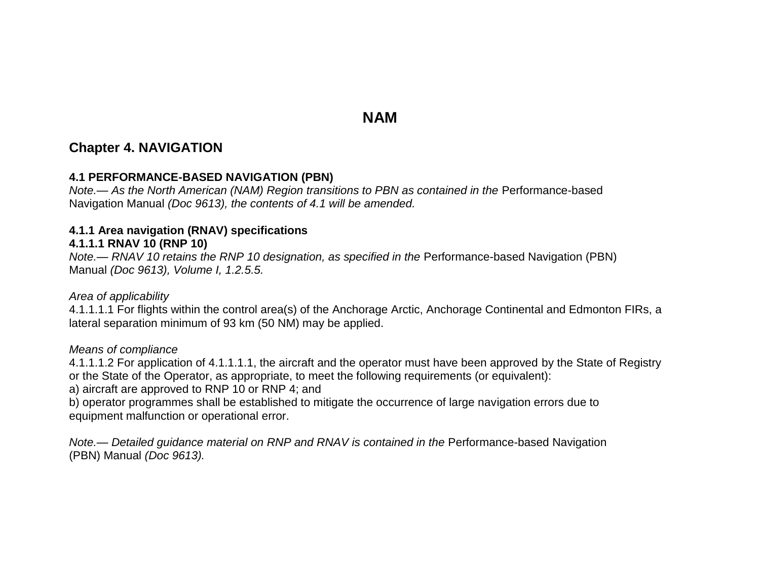# **NAM**

# **Chapter 4. NAVIGATION**

### **4.1 PERFORMANCE-BASED NAVIGATION (PBN)**

*Note.*— As the North American (NAM) Region transitions to PBN as contained in the Performance-based Navigation Manual *(Doc 9613), the contents of 4.1 will be amended.*

#### **4.1.1 Area navigation (RNAV) specifications**

#### **4.1.1.1 RNAV 10 (RNP 10)**

*Note.— RNAV 10 retains the RNP 10 designation, as specified in the Performance-based Navigation (PBN)* Manual *(Doc 9613), Volume I, 1.2.5.5.*

#### *Area of applicability*

4.1.1.1.1 For flights within the control area(s) of the Anchorage Arctic, Anchorage Continental and Edmonton FIRs, a lateral separation minimum of 93 km (50 NM) may be applied.

#### *Means of compliance*

4.1.1.1.2 For application of 4.1.1.1.1, the aircraft and the operator must have been approved by the State of Registry or the State of the Operator, as appropriate, to meet the following requirements (or equivalent):

a) aircraft are approved to RNP 10 or RNP 4; and

b) operator programmes shall be established to mitigate the occurrence of large navigation errors due to equipment malfunction or operational error.

*Note.— Detailed guidance material on RNP and RNAV is contained in the Performance-based Navigation* (PBN) Manual *(Doc 9613).*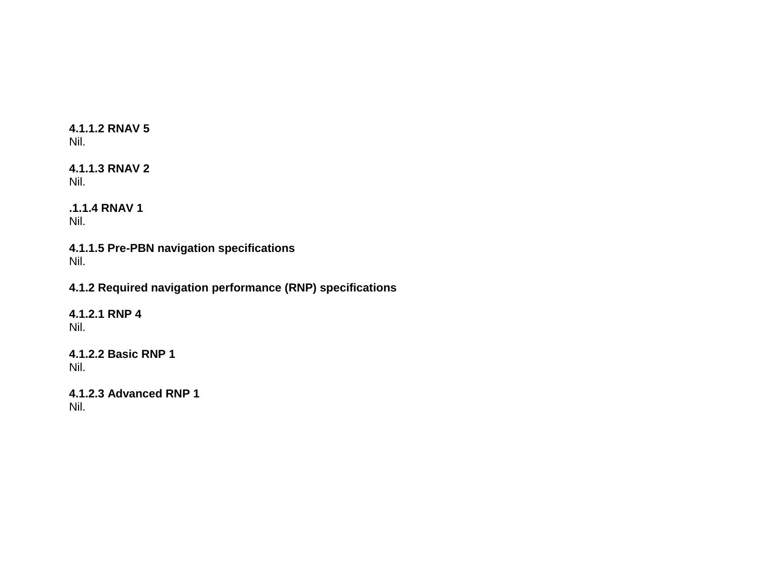### **4.1.1.2 RNAV 5** Nil.

**4.1.1.3 RNAV 2** Nil.

**.1.1.4 RNAV 1** Nil.

**4.1.1.5 Pre-PBN navigation specifications** Nil.

**4.1.2 Required navigation performance (RNP) specifications**

**4.1.2.1 RNP 4** Nil.

**4.1.2.2 Basic RNP 1** Nil.

```
4.1.2.3 Advanced RNP 1
Nil.
```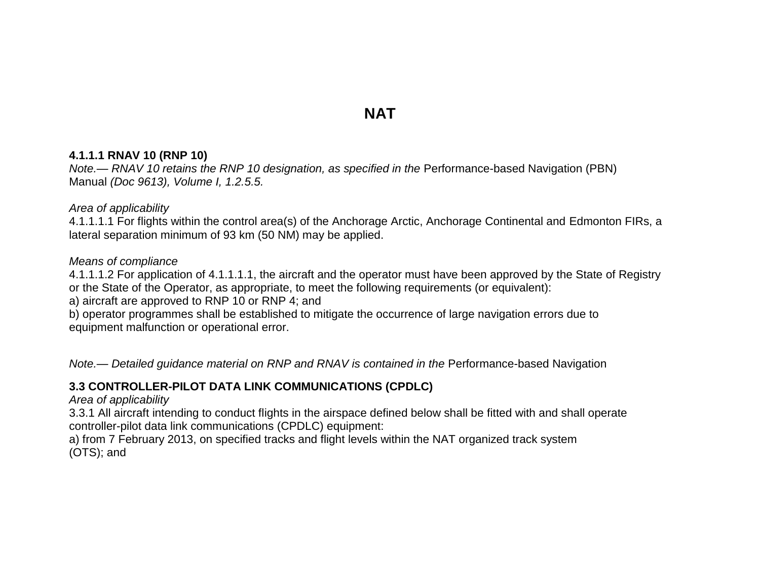# **NAT**

#### **4.1.1.1 RNAV 10 (RNP 10)**

*Note.— RNAV 10 retains the RNP 10 designation, as specified in the Performance-based Navigation (PBN)* Manual *(Doc 9613), Volume I, 1.2.5.5.*

#### *Area of applicability*

4.1.1.1.1 For flights within the control area(s) of the Anchorage Arctic, Anchorage Continental and Edmonton FIRs, a lateral separation minimum of 93 km (50 NM) may be applied.

#### *Means of compliance*

4.1.1.1.2 For application of 4.1.1.1.1, the aircraft and the operator must have been approved by the State of Registry or the State of the Operator, as appropriate, to meet the following requirements (or equivalent):

a) aircraft are approved to RNP 10 or RNP 4; and

b) operator programmes shall be established to mitigate the occurrence of large navigation errors due to equipment malfunction or operational error.

*Note.— Detailed guidance material on RNP and RNAV is contained in the Performance-based Navigation* 

### **3.3 CONTROLLER-PILOT DATA LINK COMMUNICATIONS (CPDLC)**

#### *Area of applicability*

3.3.1 All aircraft intending to conduct flights in the airspace defined below shall be fitted with and shall operate controller-pilot data link communications (CPDLC) equipment:

a) from 7 February 2013, on specified tracks and flight levels within the NAT organized track system (OTS); and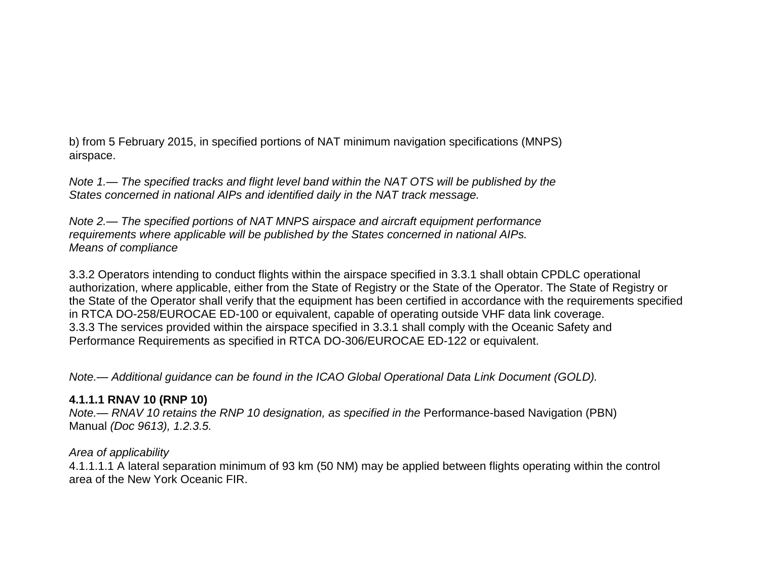b) from 5 February 2015, in specified portions of NAT minimum navigation specifications (MNPS) airspace.

*Note 1.— The specified tracks and flight level band within the NAT OTS will be published by the States concerned in national AIPs and identified daily in the NAT track message.*

*Note 2.— The specified portions of NAT MNPS airspace and aircraft equipment performance requirements where applicable will be published by the States concerned in national AIPs. Means of compliance*

3.3.2 Operators intending to conduct flights within the airspace specified in 3.3.1 shall obtain CPDLC operational authorization, where applicable, either from the State of Registry or the State of the Operator. The State of Registry or the State of the Operator shall verify that the equipment has been certified in accordance with the requirements specified in RTCA DO-258/EUROCAE ED-100 or equivalent, capable of operating outside VHF data link coverage. 3.3.3 The services provided within the airspace specified in 3.3.1 shall comply with the Oceanic Safety and Performance Requirements as specified in RTCA DO-306/EUROCAE ED-122 or equivalent.

*Note.— Additional guidance can be found in the ICAO Global Operational Data Link Document (GOLD).*

### **4.1.1.1 RNAV 10 (RNP 10)**

*Note.— RNAV 10 retains the RNP 10 designation, as specified in the Performance-based Navigation (PBN)* Manual *(Doc 9613), 1.2.3.5.*

### *Area of applicability*

4.1.1.1.1 A lateral separation minimum of 93 km (50 NM) may be applied between flights operating within the control area of the New York Oceanic FIR.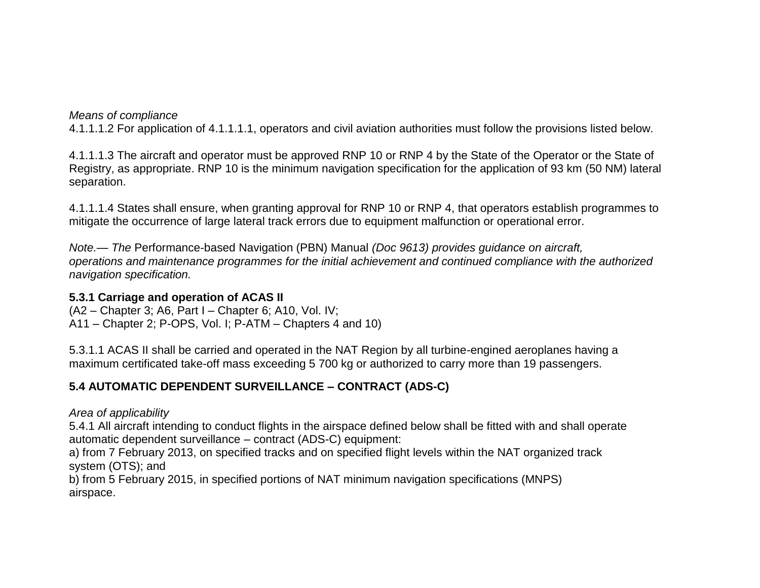4.1.1.1.2 For application of 4.1.1.1.1, operators and civil aviation authorities must follow the provisions listed below.

4.1.1.1.3 The aircraft and operator must be approved RNP 10 or RNP 4 by the State of the Operator or the State of Registry, as appropriate. RNP 10 is the minimum navigation specification for the application of 93 km (50 NM) lateral separation.

4.1.1.1.4 States shall ensure, when granting approval for RNP 10 or RNP 4, that operators establish programmes to mitigate the occurrence of large lateral track errors due to equipment malfunction or operational error.

*Note.— The* Performance-based Navigation (PBN) Manual *(Doc 9613) provides guidance on aircraft, operations and maintenance programmes for the initial achievement and continued compliance with the authorized navigation specification.*

#### **5.3.1 Carriage and operation of ACAS II**

(A2 – Chapter 3; A6, Part I – Chapter 6; A10, Vol. IV; A11 – Chapter 2; P-OPS, Vol. I; P-ATM – Chapters 4 and 10)

5.3.1.1 ACAS II shall be carried and operated in the NAT Region by all turbine-engined aeroplanes having a maximum certificated take-off mass exceeding 5 700 kg or authorized to carry more than 19 passengers.

## **5.4 AUTOMATIC DEPENDENT SURVEILLANCE – CONTRACT (ADS-C)**

*Area of applicability*

5.4.1 All aircraft intending to conduct flights in the airspace defined below shall be fitted with and shall operate automatic dependent surveillance – contract (ADS-C) equipment:

a) from 7 February 2013, on specified tracks and on specified flight levels within the NAT organized track system (OTS); and

b) from 5 February 2015, in specified portions of NAT minimum navigation specifications (MNPS) airspace.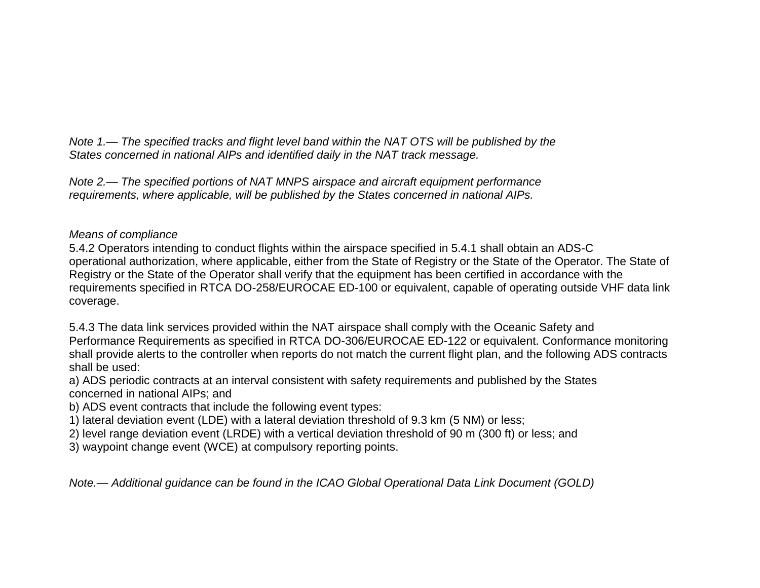*Note 1.— The specified tracks and flight level band within the NAT OTS will be published by the States concerned in national AIPs and identified daily in the NAT track message.*

*Note 2.— The specified portions of NAT MNPS airspace and aircraft equipment performance requirements, where applicable, will be published by the States concerned in national AIPs.*

### *Means of compliance*

5.4.2 Operators intending to conduct flights within the airspace specified in 5.4.1 shall obtain an ADS-C operational authorization, where applicable, either from the State of Registry or the State of the Operator. The State of Registry or the State of the Operator shall verify that the equipment has been certified in accordance with the requirements specified in RTCA DO-258/EUROCAE ED-100 or equivalent, capable of operating outside VHF data link coverage.

5.4.3 The data link services provided within the NAT airspace shall comply with the Oceanic Safety and Performance Requirements as specified in RTCA DO-306/EUROCAE ED-122 or equivalent. Conformance monitoring shall provide alerts to the controller when reports do not match the current flight plan, and the following ADS contracts shall be used:

a) ADS periodic contracts at an interval consistent with safety requirements and published by the States concerned in national AIPs; and

- b) ADS event contracts that include the following event types:
- 1) lateral deviation event (LDE) with a lateral deviation threshold of 9.3 km (5 NM) or less;
- 2) level range deviation event (LRDE) with a vertical deviation threshold of 90 m (300 ft) or less; and
- 3) waypoint change event (WCE) at compulsory reporting points.

*Note.— Additional guidance can be found in the ICAO Global Operational Data Link Document (GOLD)*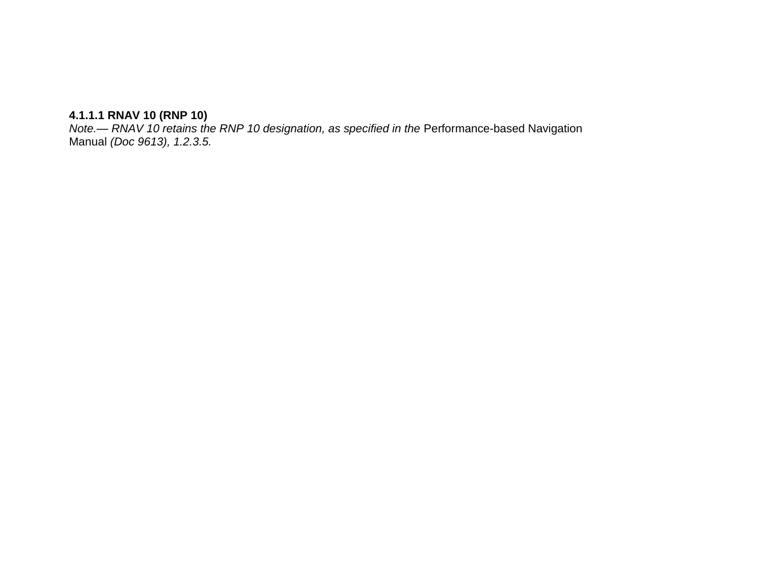#### **4.1.1.1 RNAV 10 (RNP 10)**

*Note.— RNAV 10 retains the RNP 10 designation, as specified in the Performance-based Navigation* Manual *(Doc 9613), 1.2.3.5.*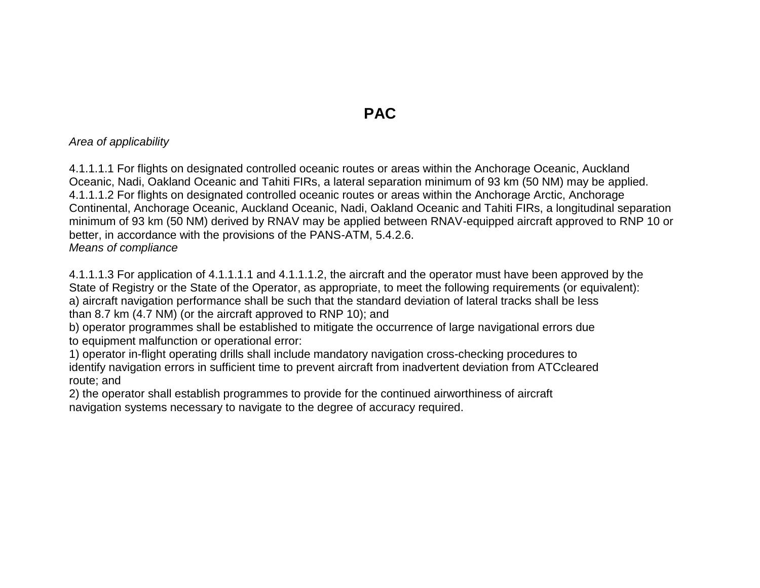# **PAC**

#### *Area of applicability*

4.1.1.1.1 For flights on designated controlled oceanic routes or areas within the Anchorage Oceanic, Auckland Oceanic, Nadi, Oakland Oceanic and Tahiti FIRs, a lateral separation minimum of 93 km (50 NM) may be applied. 4.1.1.1.2 For flights on designated controlled oceanic routes or areas within the Anchorage Arctic, Anchorage Continental, Anchorage Oceanic, Auckland Oceanic, Nadi, Oakland Oceanic and Tahiti FIRs, a longitudinal separation minimum of 93 km (50 NM) derived by RNAV may be applied between RNAV-equipped aircraft approved to RNP 10 or better, in accordance with the provisions of the PANS-ATM, 5.4.2.6. *Means of compliance*

4.1.1.1.3 For application of 4.1.1.1.1 and 4.1.1.1.2, the aircraft and the operator must have been approved by the State of Registry or the State of the Operator, as appropriate, to meet the following requirements (or equivalent): a) aircraft navigation performance shall be such that the standard deviation of lateral tracks shall be less than 8.7 km (4.7 NM) (or the aircraft approved to RNP 10); and

b) operator programmes shall be established to mitigate the occurrence of large navigational errors due to equipment malfunction or operational error:

1) operator in-flight operating drills shall include mandatory navigation cross-checking procedures to identify navigation errors in sufficient time to prevent aircraft from inadvertent deviation from ATCcleared route; and

2) the operator shall establish programmes to provide for the continued airworthiness of aircraft navigation systems necessary to navigate to the degree of accuracy required.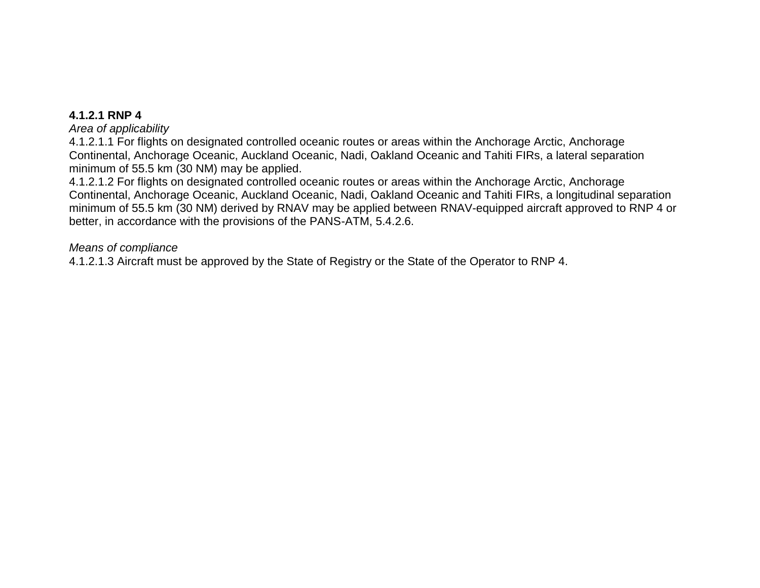#### **4.1.2.1 RNP 4**

#### *Area of applicability*

4.1.2.1.1 For flights on designated controlled oceanic routes or areas within the Anchorage Arctic, Anchorage Continental, Anchorage Oceanic, Auckland Oceanic, Nadi, Oakland Oceanic and Tahiti FIRs, a lateral separation minimum of 55.5 km (30 NM) may be applied.

4.1.2.1.2 For flights on designated controlled oceanic routes or areas within the Anchorage Arctic, Anchorage Continental, Anchorage Oceanic, Auckland Oceanic, Nadi, Oakland Oceanic and Tahiti FIRs, a longitudinal separation minimum of 55.5 km (30 NM) derived by RNAV may be applied between RNAV-equipped aircraft approved to RNP 4 or better, in accordance with the provisions of the PANS-ATM, 5.4.2.6.

#### *Means of compliance*

4.1.2.1.3 Aircraft must be approved by the State of Registry or the State of the Operator to RNP 4.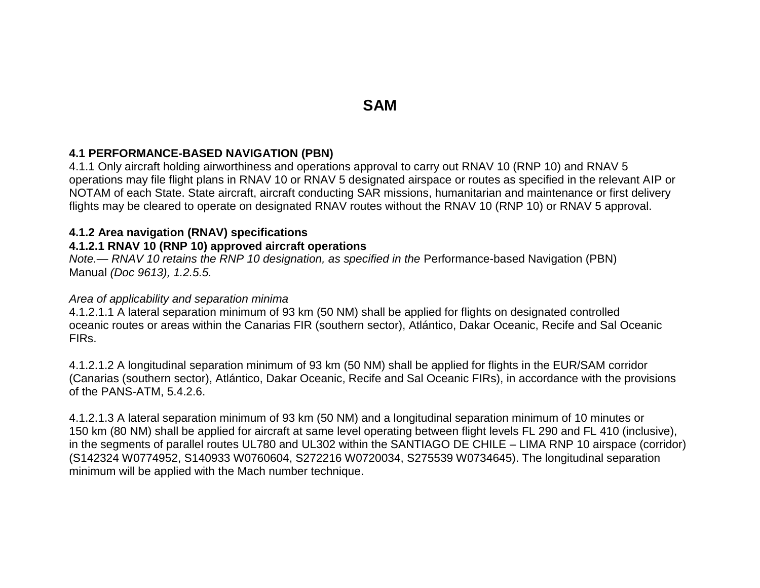# **SAM**

#### **4.1 PERFORMANCE-BASED NAVIGATION (PBN)**

4.1.1 Only aircraft holding airworthiness and operations approval to carry out RNAV 10 (RNP 10) and RNAV 5 operations may file flight plans in RNAV 10 or RNAV 5 designated airspace or routes as specified in the relevant AIP or NOTAM of each State. State aircraft, aircraft conducting SAR missions, humanitarian and maintenance or first delivery flights may be cleared to operate on designated RNAV routes without the RNAV 10 (RNP 10) or RNAV 5 approval.

#### **4.1.2 Area navigation (RNAV) specifications**

### **4.1.2.1 RNAV 10 (RNP 10) approved aircraft operations**

*Note.— RNAV 10 retains the RNP 10 designation, as specified in the Performance-based Navigation (PBN)* Manual *(Doc 9613), 1.2.5.5.*

#### *Area of applicability and separation minima*

4.1.2.1.1 A lateral separation minimum of 93 km (50 NM) shall be applied for flights on designated controlled oceanic routes or areas within the Canarias FIR (southern sector), Atlántico, Dakar Oceanic, Recife and Sal Oceanic FIRs.

4.1.2.1.2 A longitudinal separation minimum of 93 km (50 NM) shall be applied for flights in the EUR/SAM corridor (Canarias (southern sector), Atlántico, Dakar Oceanic, Recife and Sal Oceanic FIRs), in accordance with the provisions of the PANS-ATM, 5.4.2.6.

4.1.2.1.3 A lateral separation minimum of 93 km (50 NM) and a longitudinal separation minimum of 10 minutes or 150 km (80 NM) shall be applied for aircraft at same level operating between flight levels FL 290 and FL 410 (inclusive), in the segments of parallel routes UL780 and UL302 within the SANTIAGO DE CHILE – LIMA RNP 10 airspace (corridor) (S142324 W0774952, S140933 W0760604, S272216 W0720034, S275539 W0734645). The longitudinal separation minimum will be applied with the Mach number technique.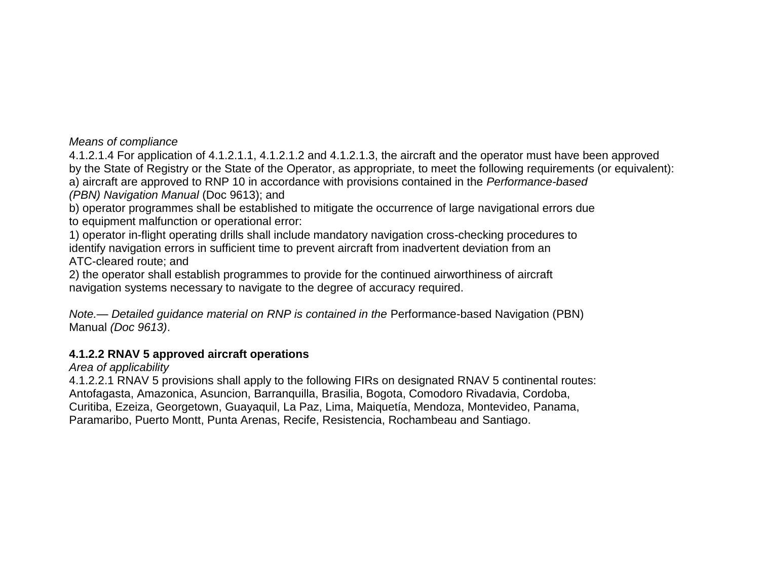4.1.2.1.4 For application of 4.1.2.1.1, 4.1.2.1.2 and 4.1.2.1.3, the aircraft and the operator must have been approved by the State of Registry or the State of the Operator, as appropriate, to meet the following requirements (or equivalent): a) aircraft are approved to RNP 10 in accordance with provisions contained in the *Performance-based (PBN) Navigation Manual* (Doc 9613); and

b) operator programmes shall be established to mitigate the occurrence of large navigational errors due to equipment malfunction or operational error:

1) operator in-flight operating drills shall include mandatory navigation cross-checking procedures to identify navigation errors in sufficient time to prevent aircraft from inadvertent deviation from an ATC-cleared route; and

2) the operator shall establish programmes to provide for the continued airworthiness of aircraft navigation systems necessary to navigate to the degree of accuracy required.

*Note.— Detailed quidance material on RNP is contained in the Performance-based Navigation (PBN)* Manual *(Doc 9613)*.

## **4.1.2.2 RNAV 5 approved aircraft operations**

*Area of applicability*

4.1.2.2.1 RNAV 5 provisions shall apply to the following FIRs on designated RNAV 5 continental routes: Antofagasta, Amazonica, Asuncion, Barranquilla, Brasilia, Bogota, Comodoro Rivadavia, Cordoba, Curitiba, Ezeiza, Georgetown, Guayaquil, La Paz, Lima, Maiquetía, Mendoza, Montevideo, Panama, Paramaribo, Puerto Montt, Punta Arenas, Recife, Resistencia, Rochambeau and Santiago.